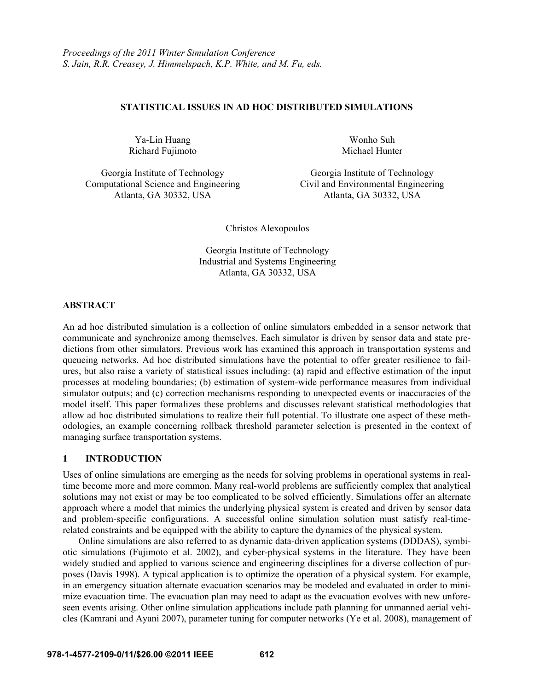## **STATISTICAL ISSUES IN AD HOC DISTRIBUTED SIMULATIONS**

Ya-Lin Huang Richard Fujimoto

Georgia Institute of Technology Computational Science and Engineering Atlanta, GA 30332, USA Atlanta, GA 30332, USA

Georgia Institute of Technology Civil and Environmental Engineering

Wonho Suh Michael Hunter

Christos Alexopoulos

Georgia Institute of Technology Industrial and Systems Engineering Atlanta, GA 30332, USA

#### **ABSTRACT**

An ad hoc distributed simulation is a collection of online simulators embedded in a sensor network that communicate and synchronize among themselves. Each simulator is driven by sensor data and state predictions from other simulators. Previous work has examined this approach in transportation systems and queueing networks. Ad hoc distributed simulations have the potential to offer greater resilience to failures, but also raise a variety of statistical issues including: (a) rapid and effective estimation of the input processes at modeling boundaries; (b) estimation of system-wide performance measures from individual simulator outputs; and (c) correction mechanisms responding to unexpected events or inaccuracies of the model itself. This paper formalizes these problems and discusses relevant statistical methodologies that allow ad hoc distributed simulations to realize their full potential. To illustrate one aspect of these methodologies, an example concerning rollback threshold parameter selection is presented in the context of managing surface transportation systems.

## **1 INTRODUCTION**

Uses of online simulations are emerging as the needs for solving problems in operational systems in realtime become more and more common. Many real-world problems are sufficiently complex that analytical solutions may not exist or may be too complicated to be solved efficiently. Simulations offer an alternate approach where a model that mimics the underlying physical system is created and driven by sensor data and problem-specific configurations. A successful online simulation solution must satisfy real-timerelated constraints and be equipped with the ability to capture the dynamics of the physical system.

Online simulations are also referred to as dynamic data-driven application systems (DDDAS), symbiotic simulations (Fujimoto et al. 2002), and cyber-physical systems in the literature. They have been widely studied and applied to various science and engineering disciplines for a diverse collection of purposes (Davis 1998). A typical application is to optimize the operation of a physical system. For example, in an emergency situation alternate evacuation scenarios may be modeled and evaluated in order to minimize evacuation time. The evacuation plan may need to adapt as the evacuation evolves with new unforeseen events arising. Other online simulation applications include path planning for unmanned aerial vehicles (Kamrani and Ayani 2007), parameter tuning for computer networks (Ye et al. 2008), management of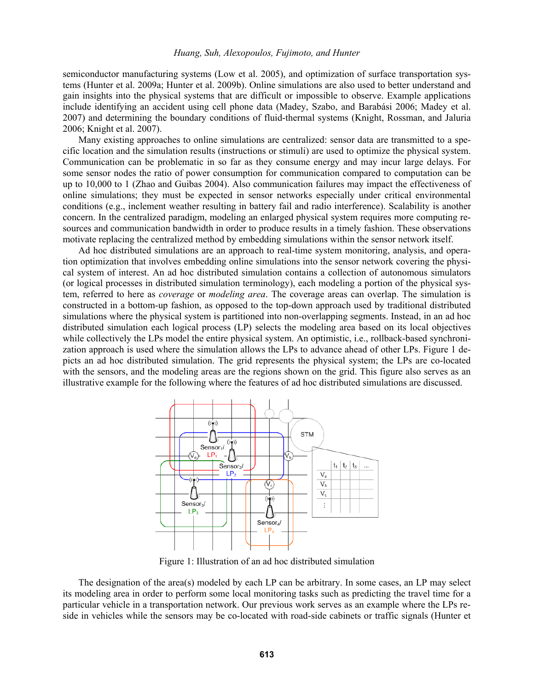semiconductor manufacturing systems (Low et al. 2005), and optimization of surface transportation systems (Hunter et al. 2009a; Hunter et al. 2009b). Online simulations are also used to better understand and gain insights into the physical systems that are difficult or impossible to observe. Example applications include identifying an accident using cell phone data (Madey, Szabo, and Barabási 2006; Madey et al. 2007) and determining the boundary conditions of fluid-thermal systems (Knight, Rossman, and Jaluria 2006; Knight et al. 2007).

Many existing approaches to online simulations are centralized: sensor data are transmitted to a specific location and the simulation results (instructions or stimuli) are used to optimize the physical system. Communication can be problematic in so far as they consume energy and may incur large delays. For some sensor nodes the ratio of power consumption for communication compared to computation can be up to 10,000 to 1 (Zhao and Guibas 2004). Also communication failures may impact the effectiveness of online simulations; they must be expected in sensor networks especially under critical environmental conditions (e.g., inclement weather resulting in battery fail and radio interference). Scalability is another concern. In the centralized paradigm, modeling an enlarged physical system requires more computing resources and communication bandwidth in order to produce results in a timely fashion. These observations motivate replacing the centralized method by embedding simulations within the sensor network itself.

Ad hoc distributed simulations are an approach to real-time system monitoring, analysis, and operation optimization that involves embedding online simulations into the sensor network covering the physical system of interest. An ad hoc distributed simulation contains a collection of autonomous simulators (or logical processes in distributed simulation terminology), each modeling a portion of the physical system, referred to here as *coverage* or *modeling area*. The coverage areas can overlap. The simulation is constructed in a bottom-up fashion, as opposed to the top-down approach used by traditional distributed simulations where the physical system is partitioned into non-overlapping segments. Instead, in an ad hoc distributed simulation each logical process (LP) selects the modeling area based on its local objectives while collectively the LPs model the entire physical system. An optimistic, i.e., rollback-based synchronization approach is used where the simulation allows the LPs to advance ahead of other LPs. Figure 1 depicts an ad hoc distributed simulation. The grid represents the physical system; the LPs are co-located with the sensors, and the modeling areas are the regions shown on the grid. This figure also serves as an illustrative example for the following where the features of ad hoc distributed simulations are discussed.



Figure 1: Illustration of an ad hoc distributed simulation

The designation of the area(s) modeled by each LP can be arbitrary. In some cases, an LP may select its modeling area in order to perform some local monitoring tasks such as predicting the travel time for a particular vehicle in a transportation network. Our previous work serves as an example where the LPs reside in vehicles while the sensors may be co-located with road-side cabinets or traffic signals (Hunter et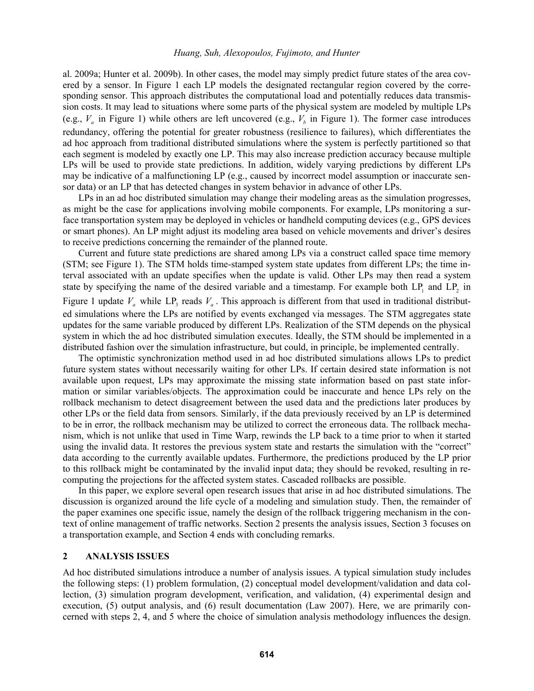al. 2009a; Hunter et al. 2009b). In other cases, the model may simply predict future states of the area covered by a sensor. In Figure 1 each LP models the designated rectangular region covered by the corresponding sensor. This approach distributes the computational load and potentially reduces data transmission costs. It may lead to situations where some parts of the physical system are modeled by multiple LPs (e.g.,  $V_a$  in Figure 1) while others are left uncovered (e.g.,  $V_b$  in Figure 1). The former case introduces redundancy, offering the potential for greater robustness (resilience to failures), which differentiates the ad hoc approach from traditional distributed simulations where the system is perfectly partitioned so that each segment is modeled by exactly one LP. This may also increase prediction accuracy because multiple LPs will be used to provide state predictions. In addition, widely varying predictions by different LPs may be indicative of a malfunctioning LP (e.g., caused by incorrect model assumption or inaccurate sensor data) or an LP that has detected changes in system behavior in advance of other LPs.

LPs in an ad hoc distributed simulation may change their modeling areas as the simulation progresses, as might be the case for applications involving mobile components. For example, LPs monitoring a surface transportation system may be deployed in vehicles or handheld computing devices (e.g., GPS devices or smart phones). An LP might adjust its modeling area based on vehicle movements and driver's desires to receive predictions concerning the remainder of the planned route.

Current and future state predictions are shared among LPs via a construct called space time memory (STM; see Figure 1). The STM holds time-stamped system state updates from different LPs; the time interval associated with an update specifies when the update is valid. Other LPs may then read a system state by specifying the name of the desired variable and a timestamp. For example both  $LP_1$  and  $LP_2$  in Figure 1 update  $V_a$  while LP<sub>3</sub> reads  $V_a$ . This approach is different from that used in traditional distributed simulations where the LPs are notified by events exchanged via messages. The STM aggregates state updates for the same variable produced by different LPs. Realization of the STM depends on the physical system in which the ad hoc distributed simulation executes. Ideally, the STM should be implemented in a distributed fashion over the simulation infrastructure, but could, in principle, be implemented centrally.

The optimistic synchronization method used in ad hoc distributed simulations allows LPs to predict future system states without necessarily waiting for other LPs. If certain desired state information is not available upon request, LPs may approximate the missing state information based on past state information or similar variables/objects. The approximation could be inaccurate and hence LPs rely on the rollback mechanism to detect disagreement between the used data and the predictions later produces by other LPs or the field data from sensors. Similarly, if the data previously received by an LP is determined to be in error, the rollback mechanism may be utilized to correct the erroneous data. The rollback mechanism, which is not unlike that used in Time Warp, rewinds the LP back to a time prior to when it started using the invalid data. It restores the previous system state and restarts the simulation with the "correct" data according to the currently available updates. Furthermore, the predictions produced by the LP prior to this rollback might be contaminated by the invalid input data; they should be revoked, resulting in recomputing the projections for the affected system states. Cascaded rollbacks are possible.

In this paper, we explore several open research issues that arise in ad hoc distributed simulations. The discussion is organized around the life cycle of a modeling and simulation study. Then, the remainder of the paper examines one specific issue, namely the design of the rollback triggering mechanism in the context of online management of traffic networks. Section 2 presents the analysis issues, Section 3 focuses on a transportation example, and Section 4 ends with concluding remarks.

# **2 ANALYSIS ISSUES**

Ad hoc distributed simulations introduce a number of analysis issues. A typical simulation study includes the following steps: (1) problem formulation, (2) conceptual model development/validation and data collection, (3) simulation program development, verification, and validation, (4) experimental design and execution, (5) output analysis, and (6) result documentation (Law 2007). Here, we are primarily concerned with steps 2, 4, and 5 where the choice of simulation analysis methodology influences the design.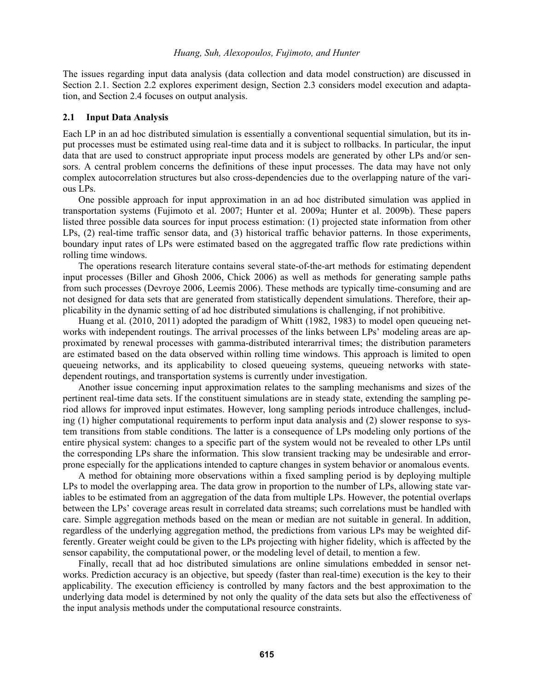The issues regarding input data analysis (data collection and data model construction) are discussed in Section 2.1. Section 2.2 explores experiment design, Section 2.3 considers model execution and adaptation, and Section 2.4 focuses on output analysis.

#### **2.1 Input Data Analysis**

Each LP in an ad hoc distributed simulation is essentially a conventional sequential simulation, but its input processes must be estimated using real-time data and it is subject to rollbacks. In particular, the input data that are used to construct appropriate input process models are generated by other LPs and/or sensors. A central problem concerns the definitions of these input processes. The data may have not only complex autocorrelation structures but also cross-dependencies due to the overlapping nature of the various LPs.

One possible approach for input approximation in an ad hoc distributed simulation was applied in transportation systems (Fujimoto et al. 2007; Hunter et al. 2009a; Hunter et al. 2009b). These papers listed three possible data sources for input process estimation: (1) projected state information from other LPs, (2) real-time traffic sensor data, and (3) historical traffic behavior patterns. In those experiments, boundary input rates of LPs were estimated based on the aggregated traffic flow rate predictions within rolling time windows.

The operations research literature contains several state-of-the-art methods for estimating dependent input processes (Biller and Ghosh 2006, Chick 2006) as well as methods for generating sample paths from such processes (Devroye 2006, Leemis 2006). These methods are typically time-consuming and are not designed for data sets that are generated from statistically dependent simulations. Therefore, their applicability in the dynamic setting of ad hoc distributed simulations is challenging, if not prohibitive.

Huang et al. (2010, 2011) adopted the paradigm of Whitt (1982, 1983) to model open queueing networks with independent routings. The arrival processes of the links between LPs' modeling areas are approximated by renewal processes with gamma-distributed interarrival times; the distribution parameters are estimated based on the data observed within rolling time windows. This approach is limited to open queueing networks, and its applicability to closed queueing systems, queueing networks with statedependent routings, and transportation systems is currently under investigation.

Another issue concerning input approximation relates to the sampling mechanisms and sizes of the pertinent real-time data sets. If the constituent simulations are in steady state, extending the sampling period allows for improved input estimates. However, long sampling periods introduce challenges, including (1) higher computational requirements to perform input data analysis and (2) slower response to system transitions from stable conditions. The latter is a consequence of LPs modeling only portions of the entire physical system: changes to a specific part of the system would not be revealed to other LPs until the corresponding LPs share the information. This slow transient tracking may be undesirable and errorprone especially for the applications intended to capture changes in system behavior or anomalous events.

A method for obtaining more observations within a fixed sampling period is by deploying multiple LPs to model the overlapping area. The data grow in proportion to the number of LPs, allowing state variables to be estimated from an aggregation of the data from multiple LPs. However, the potential overlaps between the LPs' coverage areas result in correlated data streams; such correlations must be handled with care. Simple aggregation methods based on the mean or median are not suitable in general. In addition, regardless of the underlying aggregation method, the predictions from various LPs may be weighted differently. Greater weight could be given to the LPs projecting with higher fidelity, which is affected by the sensor capability, the computational power, or the modeling level of detail, to mention a few.

Finally, recall that ad hoc distributed simulations are online simulations embedded in sensor networks. Prediction accuracy is an objective, but speedy (faster than real-time) execution is the key to their applicability. The execution efficiency is controlled by many factors and the best approximation to the underlying data model is determined by not only the quality of the data sets but also the effectiveness of the input analysis methods under the computational resource constraints.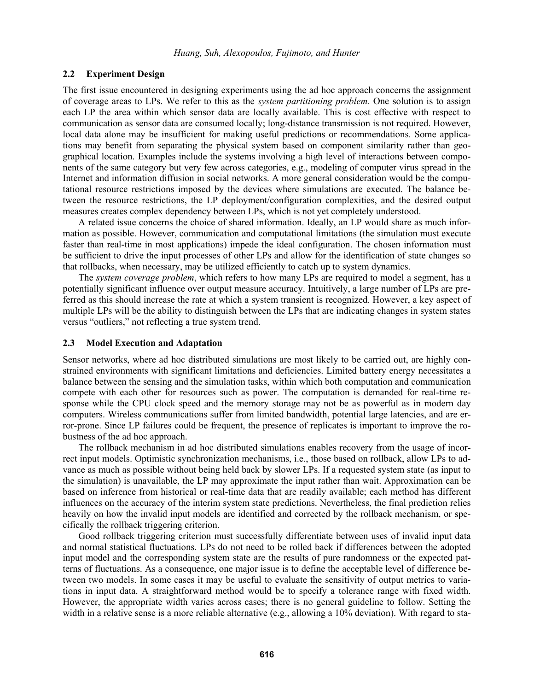### **2.2 Experiment Design**

The first issue encountered in designing experiments using the ad hoc approach concerns the assignment of coverage areas to LPs. We refer to this as the *system partitioning problem*. One solution is to assign each LP the area within which sensor data are locally available. This is cost effective with respect to communication as sensor data are consumed locally; long-distance transmission is not required. However, local data alone may be insufficient for making useful predictions or recommendations. Some applications may benefit from separating the physical system based on component similarity rather than geographical location. Examples include the systems involving a high level of interactions between components of the same category but very few across categories, e.g., modeling of computer virus spread in the Internet and information diffusion in social networks. A more general consideration would be the computational resource restrictions imposed by the devices where simulations are executed. The balance between the resource restrictions, the LP deployment/configuration complexities, and the desired output measures creates complex dependency between LPs, which is not yet completely understood.

A related issue concerns the choice of shared information. Ideally, an LP would share as much information as possible. However, communication and computational limitations (the simulation must execute faster than real-time in most applications) impede the ideal configuration. The chosen information must be sufficient to drive the input processes of other LPs and allow for the identification of state changes so that rollbacks, when necessary, may be utilized efficiently to catch up to system dynamics.

The *system coverage problem*, which refers to how many LPs are required to model a segment, has a potentially significant influence over output measure accuracy. Intuitively, a large number of LPs are preferred as this should increase the rate at which a system transient is recognized. However, a key aspect of multiple LPs will be the ability to distinguish between the LPs that are indicating changes in system states versus "outliers," not reflecting a true system trend.

### **2.3 Model Execution and Adaptation**

Sensor networks, where ad hoc distributed simulations are most likely to be carried out, are highly constrained environments with significant limitations and deficiencies. Limited battery energy necessitates a balance between the sensing and the simulation tasks, within which both computation and communication compete with each other for resources such as power. The computation is demanded for real-time response while the CPU clock speed and the memory storage may not be as powerful as in modern day computers. Wireless communications suffer from limited bandwidth, potential large latencies, and are error-prone. Since LP failures could be frequent, the presence of replicates is important to improve the robustness of the ad hoc approach.

The rollback mechanism in ad hoc distributed simulations enables recovery from the usage of incorrect input models. Optimistic synchronization mechanisms, i.e., those based on rollback, allow LPs to advance as much as possible without being held back by slower LPs. If a requested system state (as input to the simulation) is unavailable, the LP may approximate the input rather than wait. Approximation can be based on inference from historical or real-time data that are readily available; each method has different influences on the accuracy of the interim system state predictions. Nevertheless, the final prediction relies heavily on how the invalid input models are identified and corrected by the rollback mechanism, or specifically the rollback triggering criterion.

Good rollback triggering criterion must successfully differentiate between uses of invalid input data and normal statistical fluctuations. LPs do not need to be rolled back if differences between the adopted input model and the corresponding system state are the results of pure randomness or the expected patterns of fluctuations. As a consequence, one major issue is to define the acceptable level of difference between two models. In some cases it may be useful to evaluate the sensitivity of output metrics to variations in input data. A straightforward method would be to specify a tolerance range with fixed width. However, the appropriate width varies across cases; there is no general guideline to follow. Setting the width in a relative sense is a more reliable alternative (e.g., allowing a 10% deviation). With regard to sta-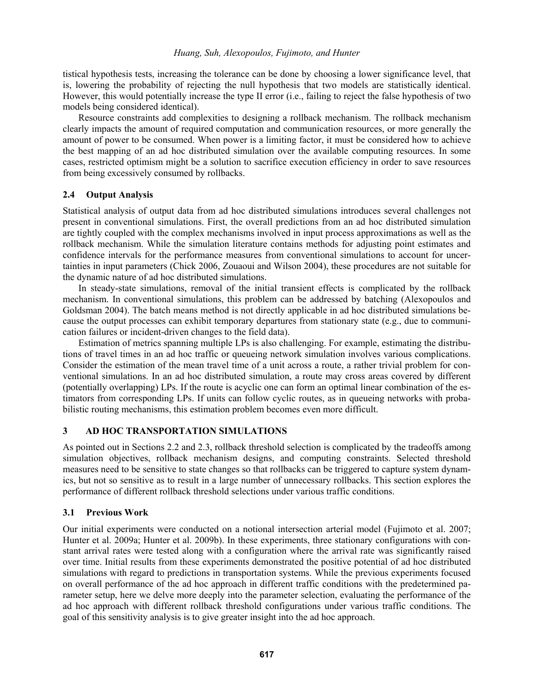tistical hypothesis tests, increasing the tolerance can be done by choosing a lower significance level, that is, lowering the probability of rejecting the null hypothesis that two models are statistically identical. However, this would potentially increase the type II error (i.e., failing to reject the false hypothesis of two models being considered identical).

Resource constraints add complexities to designing a rollback mechanism. The rollback mechanism clearly impacts the amount of required computation and communication resources, or more generally the amount of power to be consumed. When power is a limiting factor, it must be considered how to achieve the best mapping of an ad hoc distributed simulation over the available computing resources. In some cases, restricted optimism might be a solution to sacrifice execution efficiency in order to save resources from being excessively consumed by rollbacks.

# **2.4 Output Analysis**

Statistical analysis of output data from ad hoc distributed simulations introduces several challenges not present in conventional simulations. First, the overall predictions from an ad hoc distributed simulation are tightly coupled with the complex mechanisms involved in input process approximations as well as the rollback mechanism. While the simulation literature contains methods for adjusting point estimates and confidence intervals for the performance measures from conventional simulations to account for uncertainties in input parameters (Chick 2006, Zouaoui and Wilson 2004), these procedures are not suitable for the dynamic nature of ad hoc distributed simulations.

In steady-state simulations, removal of the initial transient effects is complicated by the rollback mechanism. In conventional simulations, this problem can be addressed by batching (Alexopoulos and Goldsman 2004). The batch means method is not directly applicable in ad hoc distributed simulations because the output processes can exhibit temporary departures from stationary state (e.g., due to communication failures or incident-driven changes to the field data).

Estimation of metrics spanning multiple LPs is also challenging. For example, estimating the distributions of travel times in an ad hoc traffic or queueing network simulation involves various complications. Consider the estimation of the mean travel time of a unit across a route, a rather trivial problem for conventional simulations. In an ad hoc distributed simulation, a route may cross areas covered by different (potentially overlapping) LPs. If the route is acyclic one can form an optimal linear combination of the estimators from corresponding LPs. If units can follow cyclic routes, as in queueing networks with probabilistic routing mechanisms, this estimation problem becomes even more difficult.

# **3 AD HOC TRANSPORTATION SIMULATIONS**

As pointed out in Sections 2.2 and 2.3, rollback threshold selection is complicated by the tradeoffs among simulation objectives, rollback mechanism designs, and computing constraints. Selected threshold measures need to be sensitive to state changes so that rollbacks can be triggered to capture system dynamics, but not so sensitive as to result in a large number of unnecessary rollbacks. This section explores the performance of different rollback threshold selections under various traffic conditions.

### **3.1 Previous Work**

Our initial experiments were conducted on a notional intersection arterial model (Fujimoto et al. 2007; Hunter et al. 2009a; Hunter et al. 2009b). In these experiments, three stationary configurations with constant arrival rates were tested along with a configuration where the arrival rate was significantly raised over time. Initial results from these experiments demonstrated the positive potential of ad hoc distributed simulations with regard to predictions in transportation systems. While the previous experiments focused on overall performance of the ad hoc approach in different traffic conditions with the predetermined parameter setup, here we delve more deeply into the parameter selection, evaluating the performance of the ad hoc approach with different rollback threshold configurations under various traffic conditions. The goal of this sensitivity analysis is to give greater insight into the ad hoc approach.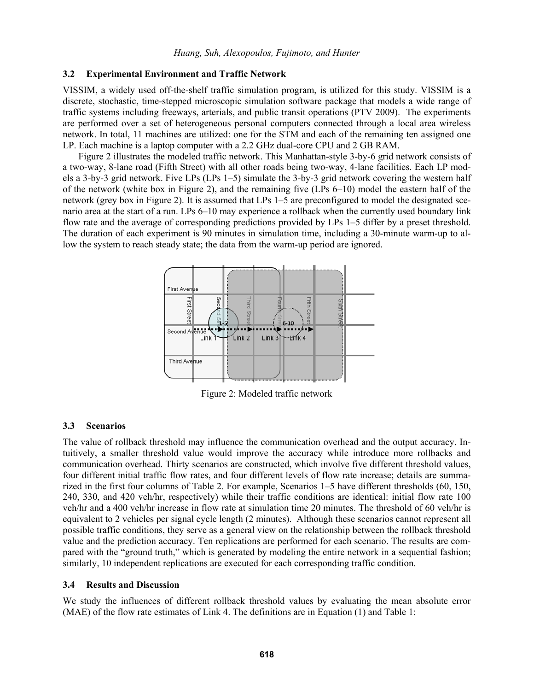### **3.2 Experimental Environment and Traffic Network**

VISSIM, a widely used off-the-shelf traffic simulation program, is utilized for this study. VISSIM is a discrete, stochastic, time-stepped microscopic simulation software package that models a wide range of traffic systems including freeways, arterials, and public transit operations (PTV 2009). The experiments are performed over a set of heterogeneous personal computers connected through a local area wireless network. In total, 11 machines are utilized: one for the STM and each of the remaining ten assigned one LP. Each machine is a laptop computer with a 2.2 GHz dual-core CPU and 2 GB RAM.

Figure 2 illustrates the modeled traffic network. This Manhattan-style 3-by-6 grid network consists of a two-way, 8-lane road (Fifth Street) with all other roads being two-way, 4-lane facilities. Each LP models a 3-by-3 grid network. Five LPs (LPs 1–5) simulate the 3-by-3 grid network covering the western half of the network (white box in Figure 2), and the remaining five (LPs 6–10) model the eastern half of the network (grey box in Figure 2). It is assumed that LPs 1–5 are preconfigured to model the designated scenario area at the start of a run. LPs 6–10 may experience a rollback when the currently used boundary link flow rate and the average of corresponding predictions provided by LPs 1–5 differ by a preset threshold. The duration of each experiment is 90 minutes in simulation time, including a 30-minute warm-up to allow the system to reach steady state; the data from the warm-up period are ignored.



Figure 2: Modeled traffic network

#### **3.3 Scenarios**

The value of rollback threshold may influence the communication overhead and the output accuracy. Intuitively, a smaller threshold value would improve the accuracy while introduce more rollbacks and communication overhead. Thirty scenarios are constructed, which involve five different threshold values, four different initial traffic flow rates, and four different levels of flow rate increase; details are summarized in the first four columns of Table 2. For example, Scenarios 1–5 have different thresholds (60, 150, 240, 330, and 420 veh/hr, respectively) while their traffic conditions are identical: initial flow rate 100 veh/hr and a 400 veh/hr increase in flow rate at simulation time 20 minutes. The threshold of 60 veh/hr is equivalent to 2 vehicles per signal cycle length (2 minutes). Although these scenarios cannot represent all possible traffic conditions, they serve as a general view on the relationship between the rollback threshold value and the prediction accuracy. Ten replications are performed for each scenario. The results are compared with the "ground truth," which is generated by modeling the entire network in a sequential fashion; similarly, 10 independent replications are executed for each corresponding traffic condition.

#### **3.4 Results and Discussion**

We study the influences of different rollback threshold values by evaluating the mean absolute error (MAE) of the flow rate estimates of Link 4. The definitions are in Equation (1) and Table 1: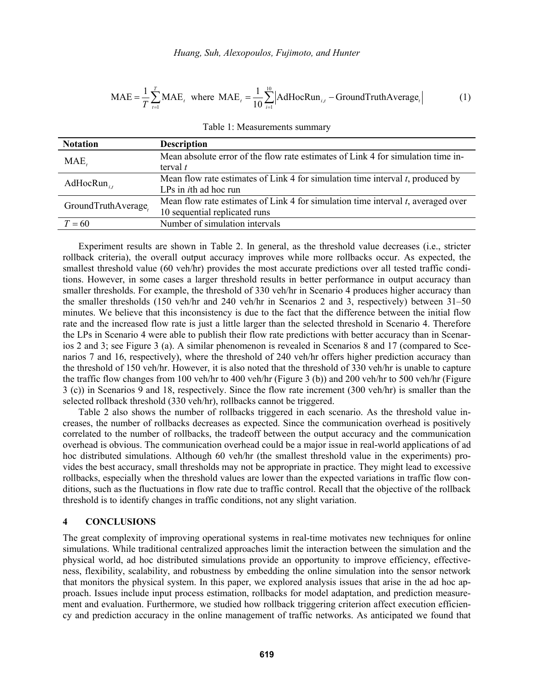$$
\text{MAE} = \frac{1}{T} \sum_{t=1}^{T} \text{MAE}_t \text{ where } \text{MAE}_t = \frac{1}{10} \sum_{i=1}^{10} |\text{AdHocRun}_{i,t} - \text{GroundTruthAverage}_t|
$$
 (1)

| <b>Notation</b>     | <b>Description</b>                                                                  |  |  |  |
|---------------------|-------------------------------------------------------------------------------------|--|--|--|
| MAE,                | Mean absolute error of the flow rate estimates of Link 4 for simulation time in-    |  |  |  |
|                     | terval $t$                                                                          |  |  |  |
| $AdHocRun_{i,t}$    | Mean flow rate estimates of Link 4 for simulation time interval $t$ , produced by   |  |  |  |
|                     | LPs in $i$ th ad hoc run                                                            |  |  |  |
| GroundTruthAverage. | Mean flow rate estimates of Link 4 for simulation time interval $t$ , averaged over |  |  |  |
|                     | 10 sequential replicated runs                                                       |  |  |  |
| $T = 60$            | Number of simulation intervals                                                      |  |  |  |

Table 1: Measurements summary

Experiment results are shown in Table 2. In general, as the threshold value decreases (i.e., stricter rollback criteria), the overall output accuracy improves while more rollbacks occur. As expected, the smallest threshold value (60 veh/hr) provides the most accurate predictions over all tested traffic conditions. However, in some cases a larger threshold results in better performance in output accuracy than smaller thresholds. For example, the threshold of 330 veh/hr in Scenario 4 produces higher accuracy than the smaller thresholds (150 veh/hr and 240 veh/hr in Scenarios 2 and 3, respectively) between 31–50 minutes. We believe that this inconsistency is due to the fact that the difference between the initial flow rate and the increased flow rate is just a little larger than the selected threshold in Scenario 4. Therefore the LPs in Scenario 4 were able to publish their flow rate predictions with better accuracy than in Scenarios 2 and 3; see Figure 3 (a). A similar phenomenon is revealed in Scenarios 8 and 17 (compared to Scenarios 7 and 16, respectively), where the threshold of 240 veh/hr offers higher prediction accuracy than the threshold of 150 veh/hr. However, it is also noted that the threshold of 330 veh/hr is unable to capture the traffic flow changes from 100 veh/hr to 400 veh/hr (Figure 3 (b)) and 200 veh/hr to 500 veh/hr (Figure 3 (c)) in Scenarios 9 and 18, respectively. Since the flow rate increment (300 veh/hr) is smaller than the selected rollback threshold (330 veh/hr), rollbacks cannot be triggered.

Table 2 also shows the number of rollbacks triggered in each scenario. As the threshold value increases, the number of rollbacks decreases as expected. Since the communication overhead is positively correlated to the number of rollbacks, the tradeoff between the output accuracy and the communication overhead is obvious. The communication overhead could be a major issue in real-world applications of ad hoc distributed simulations. Although 60 veh/hr (the smallest threshold value in the experiments) provides the best accuracy, small thresholds may not be appropriate in practice. They might lead to excessive rollbacks, especially when the threshold values are lower than the expected variations in traffic flow conditions, such as the fluctuations in flow rate due to traffic control. Recall that the objective of the rollback threshold is to identify changes in traffic conditions, not any slight variation.

### **4 CONCLUSIONS**

The great complexity of improving operational systems in real-time motivates new techniques for online simulations. While traditional centralized approaches limit the interaction between the simulation and the physical world, ad hoc distributed simulations provide an opportunity to improve efficiency, effectiveness, flexibility, scalability, and robustness by embedding the online simulation into the sensor network that monitors the physical system. In this paper, we explored analysis issues that arise in the ad hoc approach. Issues include input process estimation, rollbacks for model adaptation, and prediction measurement and evaluation. Furthermore, we studied how rollback triggering criterion affect execution efficiency and prediction accuracy in the online management of traffic networks. As anticipated we found that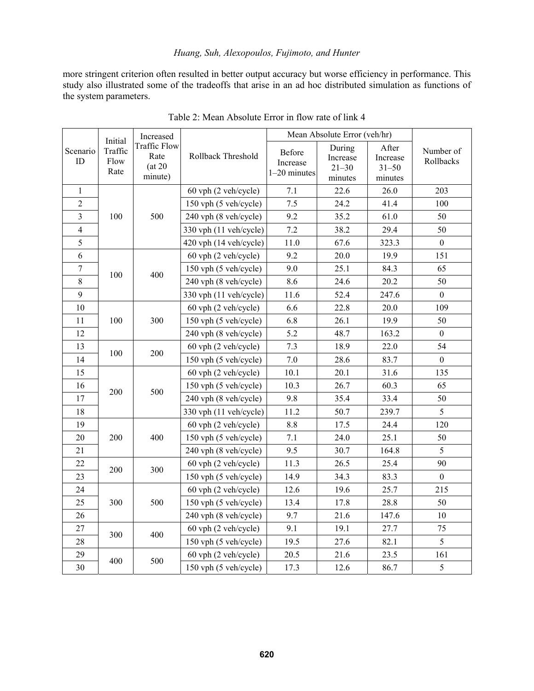more stringent criterion often resulted in better output accuracy but worse efficiency in performance. This study also illustrated some of the tradeoffs that arise in an ad hoc distributed simulation as functions of the system parameters.

| Scenario<br>ID          |                                    | Increased<br><b>Traffic Flow</b><br>Rate<br>(at 20)<br>minute) | Rollback Threshold     | Mean Absolute Error (veh/hr)         |                                            |                                           |                        |
|-------------------------|------------------------------------|----------------------------------------------------------------|------------------------|--------------------------------------|--------------------------------------------|-------------------------------------------|------------------------|
|                         | Initial<br>Traffic<br>Flow<br>Rate |                                                                |                        | Before<br>Increase<br>$1-20$ minutes | During<br>Increase<br>$21 - 30$<br>minutes | After<br>Increase<br>$31 - 50$<br>minutes | Number of<br>Rollbacks |
| $\mathbf{1}$            |                                    |                                                                | 60 vph (2 veh/cycle)   | 7.1                                  | 22.6                                       | 26.0                                      | 203                    |
| $\overline{2}$          | 100                                | 500                                                            | 150 vph (5 veh/cycle)  | 7.5                                  | 24.2                                       | 41.4                                      | 100                    |
| $\overline{\mathbf{3}}$ |                                    |                                                                | 240 vph (8 veh/cycle)  | 9.2                                  | 35.2                                       | 61.0                                      | 50                     |
| $\overline{4}$          |                                    |                                                                | 330 vph (11 veh/cycle) | 7.2                                  | 38.2                                       | 29.4                                      | 50                     |
| 5                       |                                    |                                                                | 420 vph (14 veh/cycle) | 11.0                                 | 67.6                                       | 323.3                                     | $\mathbf{0}$           |
| 6                       | 100                                |                                                                | 60 vph (2 veh/cycle)   | 9.2                                  | 20.0                                       | 19.9                                      | 151                    |
| $\overline{7}$          |                                    | 400                                                            | 150 vph (5 veh/cycle)  | 9.0                                  | 25.1                                       | 84.3                                      | 65                     |
| 8                       |                                    |                                                                | 240 vph (8 veh/cycle)  | 8.6                                  | 24.6                                       | 20.2                                      | 50                     |
| 9                       |                                    |                                                                | 330 vph (11 veh/cycle) | 11.6                                 | 52.4                                       | 247.6                                     | $\boldsymbol{0}$       |
| 10                      |                                    | 300                                                            | 60 vph (2 veh/cycle)   | 6.6                                  | 22.8                                       | 20.0                                      | 109                    |
| 11                      | 100                                |                                                                | 150 vph (5 veh/cycle)  | 6.8                                  | 26.1                                       | 19.9                                      | 50                     |
| 12                      |                                    |                                                                | 240 vph (8 veh/cycle)  | 5.2                                  | 48.7                                       | 163.2                                     | $\boldsymbol{0}$       |
| 13                      | 100                                | 200                                                            | 60 vph (2 veh/cycle)   | 7.3                                  | 18.9                                       | 22.0                                      | 54                     |
| 14                      |                                    |                                                                | 150 vph (5 veh/cycle)  | 7.0                                  | 28.6                                       | 83.7                                      | $\boldsymbol{0}$       |
| 15                      | 200                                | 500                                                            | 60 vph (2 veh/cycle)   | 10.1                                 | 20.1                                       | 31.6                                      | 135                    |
| 16                      |                                    |                                                                | 150 vph (5 veh/cycle)  | 10.3                                 | 26.7                                       | 60.3                                      | 65                     |
| 17                      |                                    |                                                                | 240 vph (8 veh/cycle)  | 9.8                                  | 35.4                                       | 33.4                                      | 50                     |
| 18                      |                                    |                                                                | 330 vph (11 veh/cycle) | 11.2                                 | 50.7                                       | 239.7                                     | 5                      |
| 19                      | 200                                | 400                                                            | 60 vph (2 veh/cycle)   | 8.8                                  | 17.5                                       | 24.4                                      | 120                    |
| 20                      |                                    |                                                                | 150 vph (5 veh/cycle)  | 7.1                                  | 24.0                                       | 25.1                                      | 50                     |
| 21                      |                                    |                                                                | 240 vph (8 veh/cycle)  | 9.5                                  | 30.7                                       | 164.8                                     | 5                      |
| 22                      | 200                                | 300                                                            | 60 vph (2 veh/cycle)   | 11.3                                 | 26.5                                       | 25.4                                      | 90                     |
| 23                      |                                    |                                                                | 150 vph (5 veh/cycle)  | 14.9                                 | 34.3                                       | 83.3                                      | $\mathbf{0}$           |
| 24                      | 300                                | 500                                                            | 60 vph (2 veh/cycle)   | 12.6                                 | 19.6                                       | 25.7                                      | 215                    |
| 25                      |                                    |                                                                | 150 vph (5 veh/cycle)  | 13.4                                 | 17.8                                       | 28.8                                      | 50                     |
| 26                      |                                    |                                                                | 240 vph (8 veh/cycle)  | 9.7                                  | 21.6                                       | 147.6                                     | 10                     |
| 27                      | 300                                | 400                                                            | 60 vph (2 veh/cycle)   | 9.1                                  | 19.1                                       | 27.7                                      | 75                     |
| 28                      |                                    |                                                                | 150 vph (5 veh/cycle)  | 19.5                                 | 27.6                                       | 82.1                                      | 5                      |
| 29                      | 400                                | 500                                                            | 60 vph (2 veh/cycle)   | 20.5                                 | 21.6                                       | 23.5                                      | 161                    |
| 30                      |                                    |                                                                | 150 vph (5 veh/cycle)  | 17.3                                 | 12.6                                       | 86.7                                      | 5                      |

Table 2: Mean Absolute Error in flow rate of link 4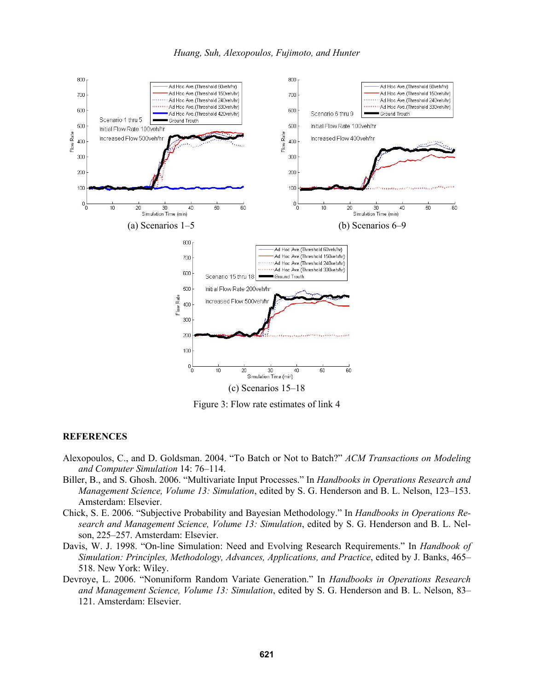

Figure 3: Flow rate estimates of link 4

# **REFERENCES**

- Alexopoulos, C., and D. Goldsman. 2004. "To Batch or Not to Batch?" *ACM Transactions on Modeling and Computer Simulation* 14: 76–114.
- Biller, B., and S. Ghosh. 2006. "Multivariate Input Processes." In *Handbooks in Operations Research and Management Science, Volume 13: Simulation*, edited by S. G. Henderson and B. L. Nelson, 123–153. Amsterdam: Elsevier.
- Chick, S. E. 2006. "Subjective Probability and Bayesian Methodology." In *Handbooks in Operations Research and Management Science, Volume 13: Simulation*, edited by S. G. Henderson and B. L. Nelson, 225–257. Amsterdam: Elsevier.
- Davis, W. J. 1998. "On-line Simulation: Need and Evolving Research Requirements." In *Handbook of Simulation: Principles, Methodology, Advances, Applications, and Practice*, edited by J. Banks, 465– 518. New York: Wiley.
- Devroye, L. 2006. "Nonuniform Random Variate Generation." In *Handbooks in Operations Research and Management Science, Volume 13: Simulation*, edited by S. G. Henderson and B. L. Nelson, 83– 121. Amsterdam: Elsevier.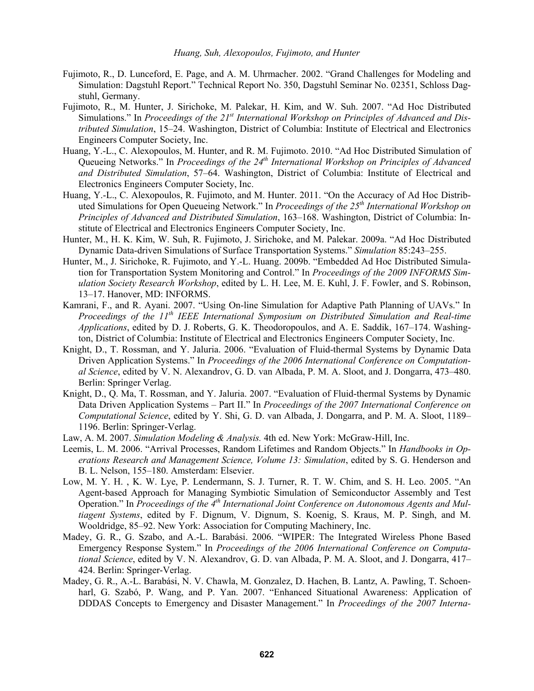- Fujimoto, R., D. Lunceford, E. Page, and A. M. Uhrmacher. 2002. "Grand Challenges for Modeling and Simulation: Dagstuhl Report." Technical Report No. 350, Dagstuhl Seminar No. 02351, Schloss Dagstuhl, Germany.
- Fujimoto, R., M. Hunter, J. Sirichoke, M. Palekar, H. Kim, and W. Suh. 2007. "Ad Hoc Distributed Simulations." In *Proceedings of the 21<sup>st</sup> International Workshop on Principles of Advanced and Distributed Simulation*, 15–24. Washington, District of Columbia: Institute of Electrical and Electronics Engineers Computer Society, Inc.
- Huang, Y.-L., C. Alexopoulos, M. Hunter, and R. M. Fujimoto. 2010. "Ad Hoc Distributed Simulation of Queueing Networks." In *Proceedings of the 24<sup>th</sup> International Workshop on Principles of Advanced and Distributed Simulation*, 57–64. Washington, District of Columbia: Institute of Electrical and Electronics Engineers Computer Society, Inc.
- Huang, Y.-L., C. Alexopoulos, R. Fujimoto, and M. Hunter. 2011. "On the Accuracy of Ad Hoc Distributed Simulations for Open Queueing Network." In *Proceedings of the 25th International Workshop on Principles of Advanced and Distributed Simulation*, 163–168. Washington, District of Columbia: Institute of Electrical and Electronics Engineers Computer Society, Inc.
- Hunter, M., H. K. Kim, W. Suh, R. Fujimoto, J. Sirichoke, and M. Palekar. 2009a. "Ad Hoc Distributed Dynamic Data-driven Simulations of Surface Transportation Systems." *Simulation* 85:243–255.
- Hunter, M., J. Sirichoke, R. Fujimoto, and Y.-L. Huang. 2009b. "Embedded Ad Hoc Distributed Simulation for Transportation System Monitoring and Control." In *Proceedings of the 2009 INFORMS Simulation Society Research Workshop*, edited by L. H. Lee, M. E. Kuhl, J. F. Fowler, and S. Robinson, 13–17. Hanover, MD: INFORMS.
- Kamrani, F., and R. Ayani. 2007. "Using On-line Simulation for Adaptive Path Planning of UAVs." In *Proceedings of the 11th IEEE International Symposium on Distributed Simulation and Real-time Applications*, edited by D. J. Roberts, G. K. Theodoropoulos, and A. E. Saddik, 167–174. Washington, District of Columbia: Institute of Electrical and Electronics Engineers Computer Society, Inc.
- Knight, D., T. Rossman, and Y. Jaluria. 2006. "Evaluation of Fluid-thermal Systems by Dynamic Data Driven Application Systems." In *Proceedings of the 2006 International Conference on Computational Science*, edited by V. N. Alexandrov, G. D. van Albada, P. M. A. Sloot, and J. Dongarra, 473–480. Berlin: Springer Verlag.
- Knight, D., Q. Ma, T. Rossman, and Y. Jaluria. 2007. "Evaluation of Fluid-thermal Systems by Dynamic Data Driven Application Systems – Part II." In *Proceedings of the 2007 International Conference on Computational Science*, edited by Y. Shi, G. D. van Albada, J. Dongarra, and P. M. A. Sloot, 1189– 1196. Berlin: Springer-Verlag.
- Law, A. M. 2007. *Simulation Modeling & Analysis.* 4th ed. New York: McGraw-Hill, Inc.
- Leemis, L. M. 2006. "Arrival Processes, Random Lifetimes and Random Objects." In *Handbooks in Operations Research and Management Science, Volume 13: Simulation*, edited by S. G. Henderson and B. L. Nelson, 155–180. Amsterdam: Elsevier.
- Low, M. Y. H. , K. W. Lye, P. Lendermann, S. J. Turner, R. T. W. Chim, and S. H. Leo. 2005. "An Agent-based Approach for Managing Symbiotic Simulation of Semiconductor Assembly and Test Operation." In *Proceedings of the 4th International Joint Conference on Autonomous Agents and Multiagent Systems*, edited by F. Dignum, V. Dignum, S. Koenig, S. Kraus, M. P. Singh, and M. Wooldridge, 85–92. New York: Association for Computing Machinery, Inc.
- Madey, G. R., G. Szabo, and A.-L. Barabási. 2006. "WIPER: The Integrated Wireless Phone Based Emergency Response System." In *Proceedings of the 2006 International Conference on Computational Science*, edited by V. N. Alexandrov, G. D. van Albada, P. M. A. Sloot, and J. Dongarra, 417– 424. Berlin: Springer-Verlag.
- Madey, G. R., A.-L. Barabási, N. V. Chawla, M. Gonzalez, D. Hachen, B. Lantz, A. Pawling, T. Schoenharl, G. Szabó, P. Wang, and P. Yan. 2007. "Enhanced Situational Awareness: Application of DDDAS Concepts to Emergency and Disaster Management." In *Proceedings of the 2007 Interna-*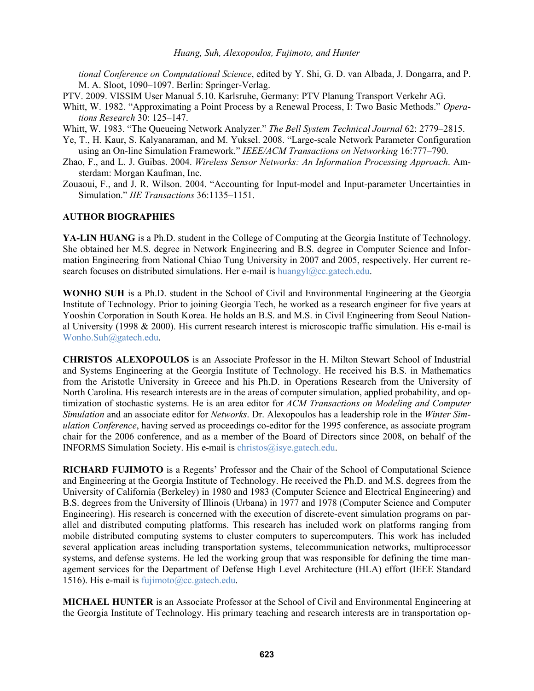*tional Conference on Computational Science*, edited by Y. Shi, G. D. van Albada, J. Dongarra, and P. M. A. Sloot, 1090–1097. Berlin: Springer-Verlag.

- PTV. 2009. VISSIM User Manual 5.10. Karlsruhe, Germany: PTV Planung Transport Verkehr AG.
- Whitt, W. 1982. "Approximating a Point Process by a Renewal Process, I: Two Basic Methods." *Operations Research* 30: 125–147.
- Whitt, W. 1983. "The Queueing Network Analyzer." *The Bell System Technical Journal* 62: 2779–2815.
- Ye, T., H. Kaur, S. Kalyanaraman, and M. Yuksel. 2008. "Large-scale Network Parameter Configuration using an On-line Simulation Framework." *IEEE/ACM Transactions on Networking* 16:777–790.
- Zhao, F., and L. J. Guibas. 2004. *Wireless Sensor Networks: An Information Processing Approach*. Amsterdam: Morgan Kaufman, Inc.
- Zouaoui, F., and J. R. Wilson. 2004. "Accounting for Input-model and Input-parameter Uncertainties in Simulation." *IIE Transactions* 36:1135–1151.

## **AUTHOR BIOGRAPHIES**

**YA-LIN HUANG** is a Ph.D. student in the College of Computing at the Georgia Institute of Technology. She obtained her M.S. degree in Network Engineering and B.S. degree in Computer Science and Information Engineering from National Chiao Tung University in 2007 and 2005, respectively. Her current research focuses on distributed simulations. Her e-mail is huangyl@cc.gatech.edu.

**WONHO SUH** is a Ph.D. student in the School of Civil and Environmental Engineering at the Georgia Institute of Technology. Prior to joining Georgia Tech, he worked as a research engineer for five years at Yooshin Corporation in South Korea. He holds an B.S. and M.S. in Civil Engineering from Seoul National University (1998 & 2000). His current research interest is microscopic traffic simulation. His e-mail is Wonho.Suh@gatech.edu.

**CHRISTOS ALEXOPOULOS** is an Associate Professor in the H. Milton Stewart School of Industrial and Systems Engineering at the Georgia Institute of Technology. He received his B.S. in Mathematics from the Aristotle University in Greece and his Ph.D. in Operations Research from the University of North Carolina. His research interests are in the areas of computer simulation, applied probability, and optimization of stochastic systems. He is an area editor for *ACM Transactions on Modeling and Computer Simulation* and an associate editor for *Networks*. Dr. Alexopoulos has a leadership role in the *Winter Simulation Conference*, having served as proceedings co-editor for the 1995 conference, as associate program chair for the 2006 conference, and as a member of the Board of Directors since 2008, on behalf of the INFORMS Simulation Society. His e-mail is christos@isye.gatech.edu.

**RICHARD FUJIMOTO** is a Regents' Professor and the Chair of the School of Computational Science and Engineering at the Georgia Institute of Technology. He received the Ph.D. and M.S. degrees from the University of California (Berkeley) in 1980 and 1983 (Computer Science and Electrical Engineering) and B.S. degrees from the University of Illinois (Urbana) in 1977 and 1978 (Computer Science and Computer Engineering). His research is concerned with the execution of discrete-event simulation programs on parallel and distributed computing platforms. This research has included work on platforms ranging from mobile distributed computing systems to cluster computers to supercomputers. This work has included several application areas including transportation systems, telecommunication networks, multiprocessor systems, and defense systems. He led the working group that was responsible for defining the time management services for the Department of Defense High Level Architecture (HLA) effort (IEEE Standard 1516). His e-mail is fujimoto@cc.gatech.edu.

**MICHAEL HUNTER** is an Associate Professor at the School of Civil and Environmental Engineering at the Georgia Institute of Technology. His primary teaching and research interests are in transportation op-